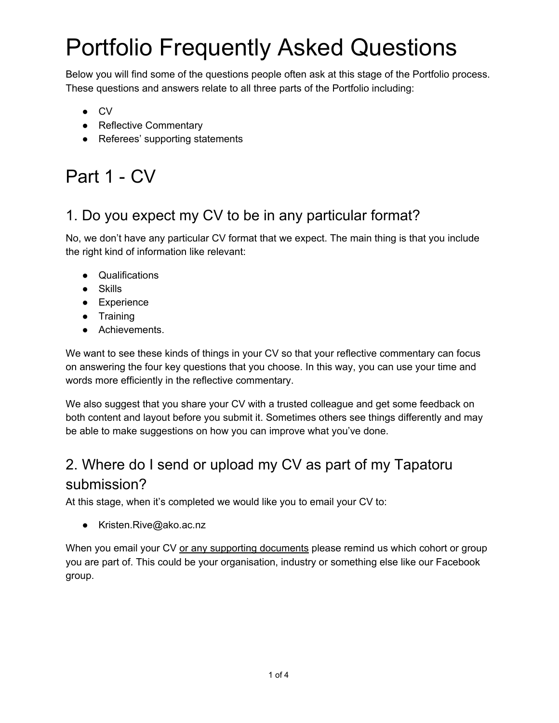Below you will find some of the questions people often ask at this stage of the Portfolio process. These questions and answers relate to all three parts of the Portfolio including:

- CV
- Reflective Commentary
- Referees' supporting statements

# Part 1 - CV

## 1. Do you expect my CV to be in any particular format?

No, we don't have any particular CV format that we expect. The main thing is that you include the right kind of information like relevant:

- Qualifications
- Skills
- Experience
- Training
- Achievements.

We want to see these kinds of things in your CV so that your reflective commentary can focus on answering the four key questions that you choose. In this way, you can use your time and words more efficiently in the reflective commentary.

We also suggest that you share your CV with a trusted colleague and get some feedback on both content and layout before you submit it. Sometimes others see things differently and may be able to make suggestions on how you can improve what you've done.

# 2. Where do I send or upload my CV as part of my Tapatoru submission?

At this stage, when it's completed we would like you to email your CV to:

● Kristen.Rive@ako.ac.nz

When you email your CV or any supporting documents please remind us which cohort or group you are part of. This could be your organisation, industry or something else like our Facebook group.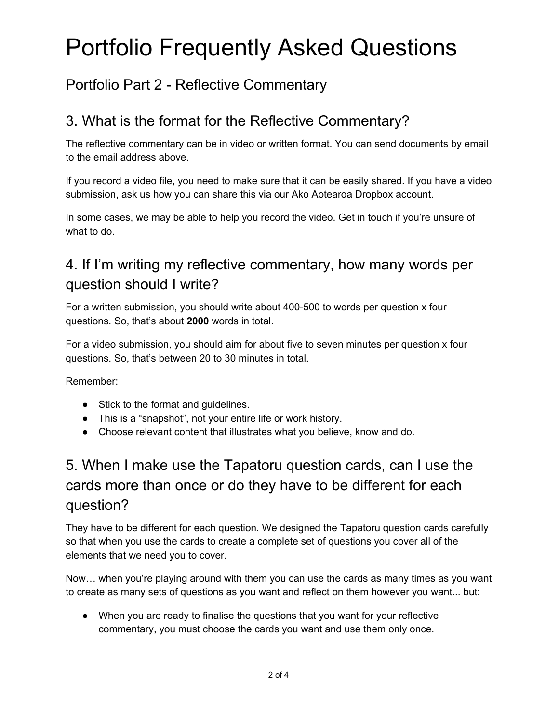### Portfolio Part 2 - Reflective Commentary

## 3. What is the format for the Reflective Commentary?

The reflective commentary can be in video or written format. You can send documents by email to the email address above.

If you record a video file, you need to make sure that it can be easily shared. If you have a video submission, ask us how you can share this via our Ako Aotearoa Dropbox account.

In some cases, we may be able to help you record the video. Get in touch if you're unsure of what to do.

# 4. If I'm writing my reflective commentary, how many words per question should I write?

For a written submission, you should write about 400-500 to words per question x four questions. So, that's about **2000** words in total.

For a video submission, you should aim for about five to seven minutes per question x four questions. So, that's between 20 to 30 minutes in total.

Remember:

- Stick to the format and guidelines.
- This is a "snapshot", not your entire life or work history.
- Choose relevant content that illustrates what you believe, know and do.

# 5. When I make use the Tapatoru question cards, can I use the cards more than once or do they have to be different for each question?

They have to be different for each question. We designed the Tapatoru question cards carefully so that when you use the cards to create a complete set of questions you cover all of the elements that we need you to cover.

Now… when you're playing around with them you can use the cards as many times as you want to create as many sets of questions as you want and reflect on them however you want... but:

● When you are ready to finalise the questions that you want for your reflective commentary, you must choose the cards you want and use them only once.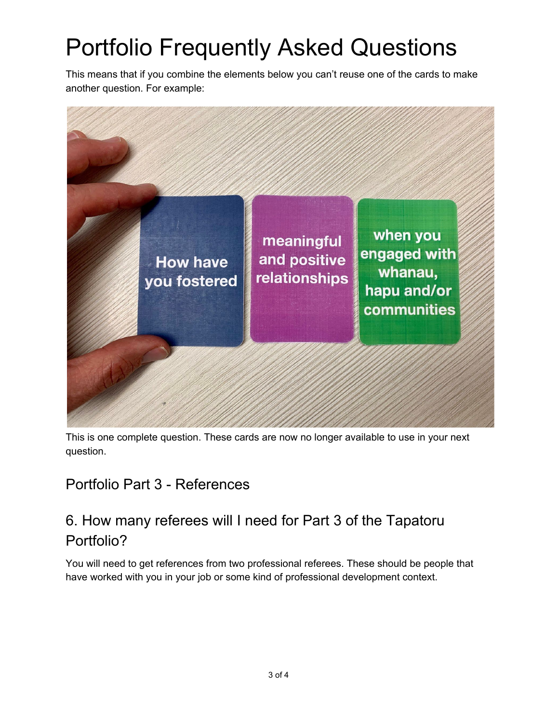This means that if you combine the elements below you can't reuse one of the cards to make another question. For example:



This is one complete question. These cards are now no longer available to use in your next question.

### Portfolio Part 3 - References

## 6. How many referees will I need for Part 3 of the Tapatoru Portfolio?

You will need to get references from two professional referees. These should be people that have worked with you in your job or some kind of professional development context.